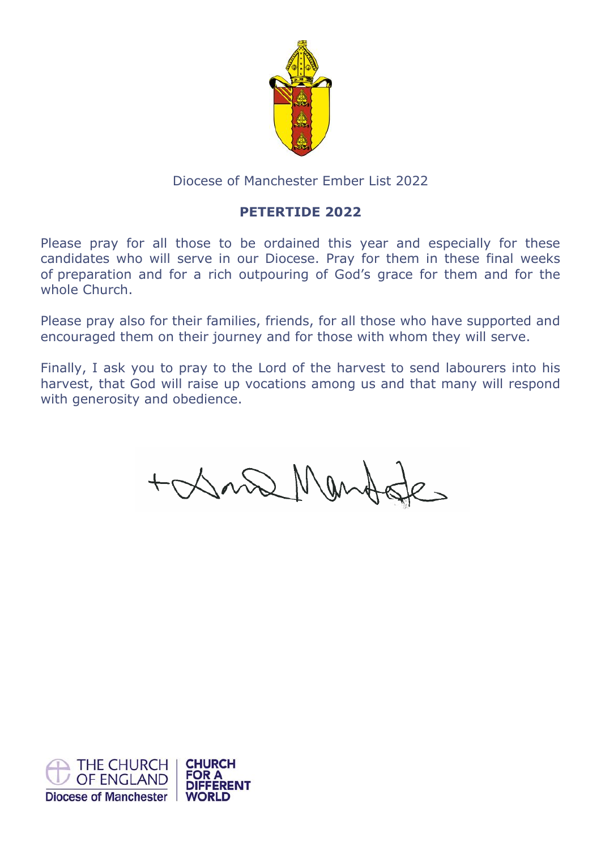

# Diocese of Manchester Ember List 2022

# **PETERTIDE 2022**

Please pray for all those to be ordained this year and especially for these candidates who will serve in our Diocese. Pray for them in these final weeks of preparation and for a rich outpouring of God's grace for them and for the whole Church.

Please pray also for their families, friends, for all those who have supported and encouraged them on their journey and for those with whom they will serve.

Finally, I ask you to pray to the Lord of the harvest to send labourers into his harvest, that God will raise up vocations among us and that many will respond with generosity and obedience.

+ Dona Man

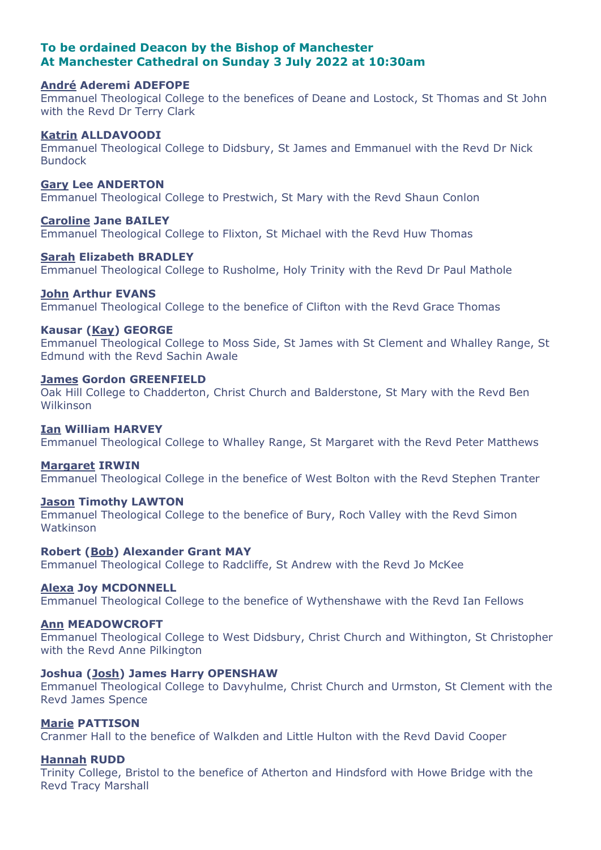# **To be ordained Deacon by the Bishop of Manchester At Manchester Cathedral on Sunday 3 July 2022 at 10:30am**

# **André Aderemi ADEFOPE**

Emmanuel Theological College to the benefices of Deane and Lostock, St Thomas and St John with the Revd Dr Terry Clark

### **Katrin ALLDAVOODI**

Emmanuel Theological College to Didsbury, St James and Emmanuel with the Revd Dr Nick Bundock

### **Gary Lee ANDERTON**

Emmanuel Theological College to Prestwich, St Mary with the Revd Shaun Conlon

# **Caroline Jane BAILEY**

Emmanuel Theological College to Flixton, St Michael with the Revd Huw Thomas

### **Sarah Elizabeth BRADLEY**

Emmanuel Theological College to Rusholme, Holy Trinity with the Revd Dr Paul Mathole

### **John Arthur EVANS**

Emmanuel Theological College to the benefice of Clifton with the Revd Grace Thomas

### **Kausar (Kay) GEORGE**

Emmanuel Theological College to Moss Side, St James with St Clement and Whalley Range, St Edmund with the Revd Sachin Awale

# **James Gordon GREENFIELD**

Oak Hill College to Chadderton, Christ Church and Balderstone, St Mary with the Revd Ben Wilkinson

# **Ian William HARVEY**

Emmanuel Theological College to Whalley Range, St Margaret with the Revd Peter Matthews

## **Margaret IRWIN**

Emmanuel Theological College in the benefice of West Bolton with the Revd Stephen Tranter

### **Jason Timothy LAWTON**

Emmanuel Theological College to the benefice of Bury, Roch Valley with the Revd Simon Watkinson

# **Robert (Bob) Alexander Grant MAY**

Emmanuel Theological College to Radcliffe, St Andrew with the Revd Jo McKee

# **Alexa Joy MCDONNELL**

Emmanuel Theological College to the benefice of Wythenshawe with the Revd Ian Fellows

# **Ann MEADOWCROFT**

Emmanuel Theological College to West Didsbury, Christ Church and Withington, St Christopher with the Revd Anne Pilkington

# **Joshua (Josh) James Harry OPENSHAW**

Emmanuel Theological College to Davyhulme, Christ Church and Urmston, St Clement with the Revd James Spence

## **Marie PATTISON**

Cranmer Hall to the benefice of Walkden and Little Hulton with the Revd David Cooper

# **Hannah RUDD**

Trinity College, Bristol to the benefice of Atherton and Hindsford with Howe Bridge with the Revd Tracy Marshall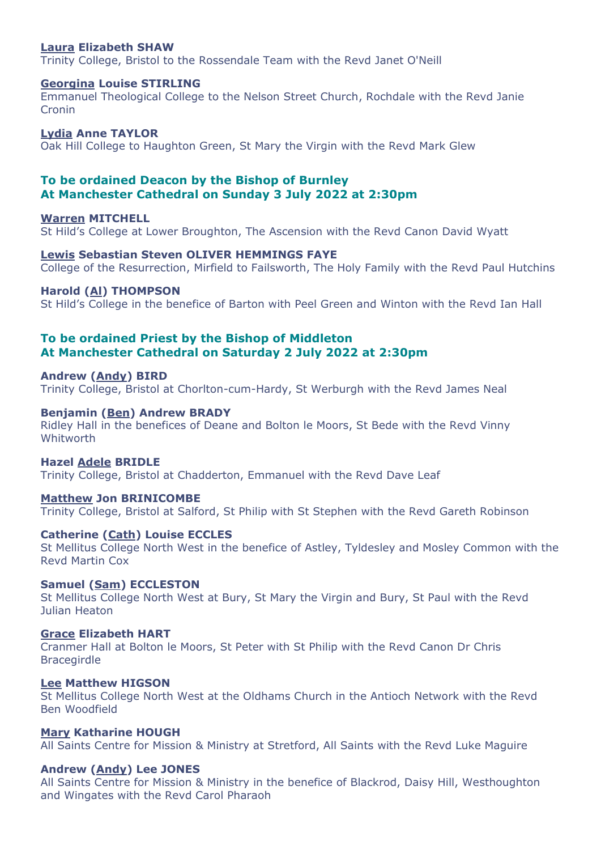### **Laura Elizabeth SHAW**

Trinity College, Bristol to the Rossendale Team with the Revd Janet O'Neill

## **Georgina Louise STIRLING**

Emmanuel Theological College to the Nelson Street Church, Rochdale with the Revd Janie Cronin

**Lydia Anne TAYLOR** Oak Hill College to Haughton Green, St Mary the Virgin with the Revd Mark Glew

# **To be ordained Deacon by the Bishop of Burnley At Manchester Cathedral on Sunday 3 July 2022 at 2:30pm**

**Warren MITCHELL** St Hild's College at Lower Broughton, The Ascension with the Revd Canon David Wyatt

#### **Lewis Sebastian Steven OLIVER HEMMINGS FAYE**

College of the Resurrection, Mirfield to Failsworth, The Holy Family with the Revd Paul Hutchins

### **Harold (Al) THOMPSON**

St Hild's College in the benefice of Barton with Peel Green and Winton with the Revd Ian Hall

# **To be ordained Priest by the Bishop of Middleton At Manchester Cathedral on Saturday 2 July 2022 at 2:30pm**

# **Andrew (Andy) BIRD**

Trinity College, Bristol at Chorlton-cum-Hardy, St Werburgh with the Revd James Neal

### **Benjamin (Ben) Andrew BRADY**

Ridley Hall in the benefices of Deane and Bolton le Moors, St Bede with the Revd Vinny **Whitworth** 

#### **Hazel Adele BRIDLE**

Trinity College, Bristol at Chadderton, Emmanuel with the Revd Dave Leaf

#### **Matthew Jon BRINICOMBE**

Trinity College, Bristol at Salford, St Philip with St Stephen with the Revd Gareth Robinson

### **Catherine (Cath) Louise ECCLES**

St Mellitus College North West in the benefice of Astley, Tyldesley and Mosley Common with the Revd Martin Cox

# **Samuel (Sam) ECCLESTON**

St Mellitus College North West at Bury, St Mary the Virgin and Bury, St Paul with the Revd Julian Heaton

## **Grace Elizabeth HART**

Cranmer Hall at Bolton le Moors, St Peter with St Philip with the Revd Canon Dr Chris Bracegirdle

# **Lee Matthew HIGSON**

St Mellitus College North West at the Oldhams Church in the Antioch Network with the Revd Ben Woodfield

### **Mary Katharine HOUGH**

All Saints Centre for Mission & Ministry at Stretford, All Saints with the Revd Luke Maguire

### **Andrew (Andy) Lee JONES**

All Saints Centre for Mission & Ministry in the benefice of Blackrod, Daisy Hill, Westhoughton and Wingates with the Revd Carol Pharaoh